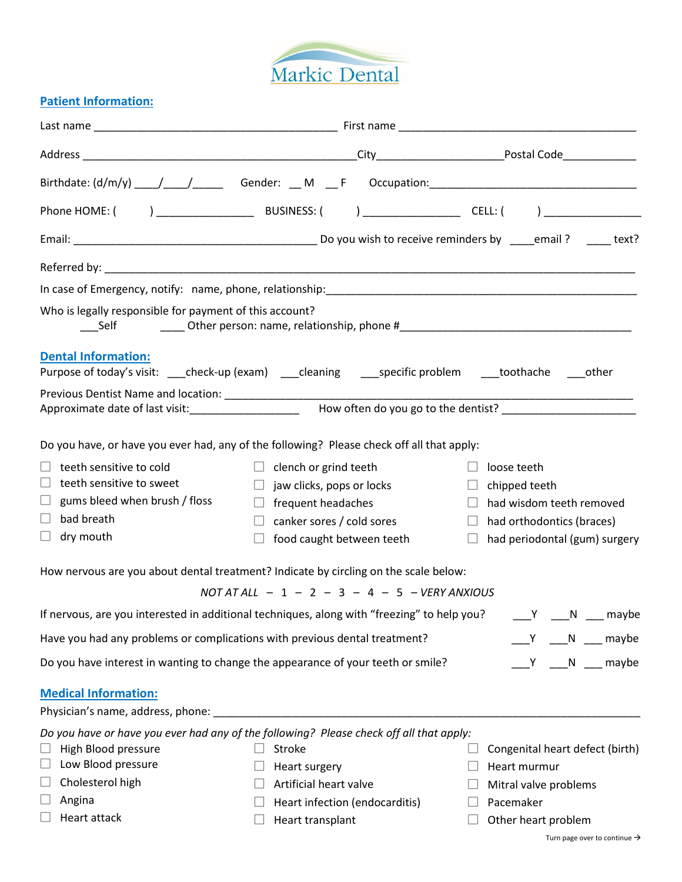

## **Patient Information:**

| Who is legally responsible for payment of this account?<br>Self            |                                                                                                                      |                                      |  |  |  |
|----------------------------------------------------------------------------|----------------------------------------------------------------------------------------------------------------------|--------------------------------------|--|--|--|
| <b>Dental Information:</b>                                                 |                                                                                                                      |                                      |  |  |  |
|                                                                            | Purpose of today's visit: ____check-up (exam) ____cleaning _____specific problem _____toothache _____other           |                                      |  |  |  |
|                                                                            |                                                                                                                      |                                      |  |  |  |
|                                                                            | Approximate date of last visit:________________________  How often do you go to the dentist? _______________________ |                                      |  |  |  |
|                                                                            | Do you have, or have you ever had, any of the following? Please check off all that apply:                            |                                      |  |  |  |
| teeth sensitive to cold                                                    | $\Box$ clench or grind teeth                                                                                         | $\Box$ loose teeth                   |  |  |  |
| $\Box$ teeth sensitive to sweet                                            | $\Box$ jaw clicks, pops or locks                                                                                     | $\Box$ chipped teeth                 |  |  |  |
| $\Box$ gums bleed when brush / floss                                       | $\Box$ frequent headaches                                                                                            | $\Box$ had wisdom teeth removed      |  |  |  |
| bad breath<br>$\Box$                                                       | $\Box$ canker sores / cold sores                                                                                     | $\Box$ had orthodontics (braces)     |  |  |  |
| $\Box$<br>dry mouth                                                        | food caught between teeth<br>$\Box$                                                                                  | $\Box$ had periodontal (gum) surgery |  |  |  |
|                                                                            | How nervous are you about dental treatment? Indicate by circling on the scale below:                                 |                                      |  |  |  |
|                                                                            | $NOTATALL - 1 - 2 - 3 - 4 - 5 - VERY ANXIOUS$                                                                        |                                      |  |  |  |
|                                                                            | If nervous, are you interested in additional techniques, along with "freezing" to help you?                          | Y<br>maybe<br>N                      |  |  |  |
| Have you had any problems or complications with previous dental treatment? |                                                                                                                      | Y N maybe                            |  |  |  |
|                                                                            | Do you have interest in wanting to change the appearance of your teeth or smile?                                     | Y N maybe                            |  |  |  |
| <b>Medical Information:</b>                                                |                                                                                                                      |                                      |  |  |  |
|                                                                            |                                                                                                                      |                                      |  |  |  |
|                                                                            | Do you have or have you ever had any of the following? Please check off all that apply:                              |                                      |  |  |  |
| High Blood pressure                                                        | Stroke                                                                                                               | Congenital heart defect (birth)      |  |  |  |
| Low Blood pressure<br>$\Box$                                               | Heart surgery                                                                                                        | Heart murmur                         |  |  |  |
| Cholesterol high<br>$\Box$                                                 | Artificial heart valve                                                                                               | Mitral valve problems                |  |  |  |
| $\Box$<br>Angina                                                           | Heart infection (endocarditis)                                                                                       | Pacemaker                            |  |  |  |
| Heart attack                                                               | Heart transplant                                                                                                     | Other heart problem                  |  |  |  |